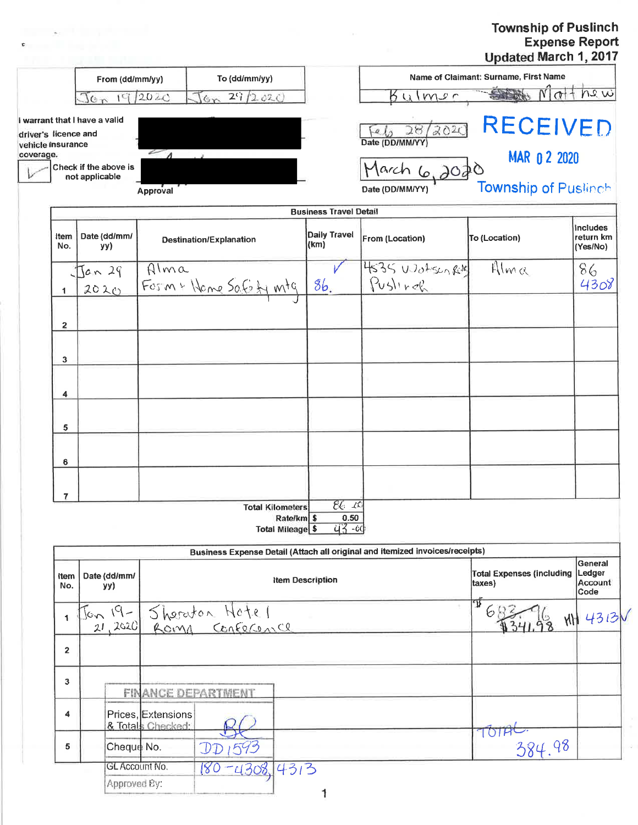## Township of Puslinch<br>Expense Report<br>Updated March 1, 2017

|                                           |                                         |                                         |                                   |                         |                               |                                                                              | Opuated March $\mathbf{I}$ , $\mathbf{2016}$ |                                          |
|-------------------------------------------|-----------------------------------------|-----------------------------------------|-----------------------------------|-------------------------|-------------------------------|------------------------------------------------------------------------------|----------------------------------------------|------------------------------------------|
| From (dd/mm/yy)                           |                                         |                                         | To (dd/mm/yy)                     |                         |                               |                                                                              | Name of Claimant: Surname, First Name        |                                          |
|                                           | $\pi$ c $C$                             | 19/2020                                 | 29/2020<br>6 <sub>m</sub>         |                         |                               | $B$ ulmer                                                                    | $N$ or $+$ he $w$                            |                                          |
| driver's licence and<br>vehicle insurance | I warrant that I have a valid           |                                         |                                   |                         |                               | 4628/2020<br>Date (DD/MM/YY)                                                 | <b>RECEIVED</b>                              |                                          |
| coverage.                                 | Check if the above is<br>not applicable | $\sim$                                  |                                   |                         |                               | March 6,2020                                                                 | <b>MAR 0 2 2020</b>                          |                                          |
|                                           |                                         | Approval                                |                                   |                         |                               | Date (DD/MM/YY)                                                              | <b>Township of Puslinch</b>                  |                                          |
|                                           |                                         |                                         |                                   |                         | <b>Business Travel Detail</b> |                                                                              |                                              |                                          |
| Item<br>No.                               | Date (dd/mm/<br>yy)                     |                                         | <b>Destination/Explanation</b>    |                         | <b>Daily Travel</b><br>(km)   | From (Location)                                                              | To (Location)                                | <b>Includes</b><br>return km<br>(Yes/No) |
|                                           | Jan 29                                  | Alma                                    |                                   |                         |                               | 4535 Wotsen Rolf                                                             | Alma                                         | 86                                       |
| 1                                         | 2020                                    |                                         | Form + Home Safety mtg            |                         | 8b.                           | Pusling                                                                      |                                              | 4308                                     |
|                                           |                                         |                                         |                                   |                         |                               |                                                                              |                                              |                                          |
| 2                                         |                                         |                                         |                                   |                         |                               |                                                                              |                                              |                                          |
| 3                                         |                                         |                                         |                                   |                         |                               |                                                                              |                                              |                                          |
| 4                                         |                                         |                                         |                                   |                         |                               |                                                                              |                                              |                                          |
| 5                                         |                                         |                                         |                                   |                         |                               |                                                                              |                                              |                                          |
| 6                                         |                                         |                                         |                                   |                         |                               |                                                                              |                                              |                                          |
| 7                                         |                                         |                                         |                                   |                         |                               |                                                                              |                                              |                                          |
|                                           |                                         |                                         | <b>Total Kilometers</b>           | Rate/km \$              | 26K<br>0.50                   |                                                                              |                                              |                                          |
|                                           |                                         |                                         |                                   | <b>Total Mileage \$</b> | <u>43 - 00</u>                |                                                                              |                                              |                                          |
|                                           |                                         |                                         |                                   |                         |                               | Business Expense Detail (Attach all original and itemized invoices/receipts) |                                              |                                          |
| Item<br>No.                               | Date (dd/mm/<br>yy)                     |                                         |                                   | <b>Item Description</b> |                               |                                                                              | <b>Total Expenses (including</b><br>taxes)   | General<br>Ledger<br>Account<br>Code     |
| 1                                         | $1 - 19 - 10$<br>21,2020                |                                         | Sheraton Hotel<br>Roma Confecence |                         |                               |                                                                              | T<br>68                                      | <b>MH 4313V</b>                          |
| $\overline{2}$                            |                                         |                                         |                                   |                         |                               |                                                                              |                                              |                                          |
| 3                                         |                                         |                                         | <b>FINANCE DEPARTMENT</b>         |                         |                               |                                                                              |                                              |                                          |
| 4                                         |                                         | Prices, Extensions<br>& Totals Checked: |                                   |                         |                               |                                                                              | TOTH                                         |                                          |
| 5                                         | Cheque No.                              |                                         |                                   |                         |                               |                                                                              | 384.98                                       |                                          |
|                                           | <b>GL Account No.</b>                   |                                         | $-4308, 4313$<br>180              |                         |                               |                                                                              |                                              |                                          |

the property of the con-

 $\mathbf{c}$  and  $\mathbf{c}$  and  $\mathbf{c}$ 

1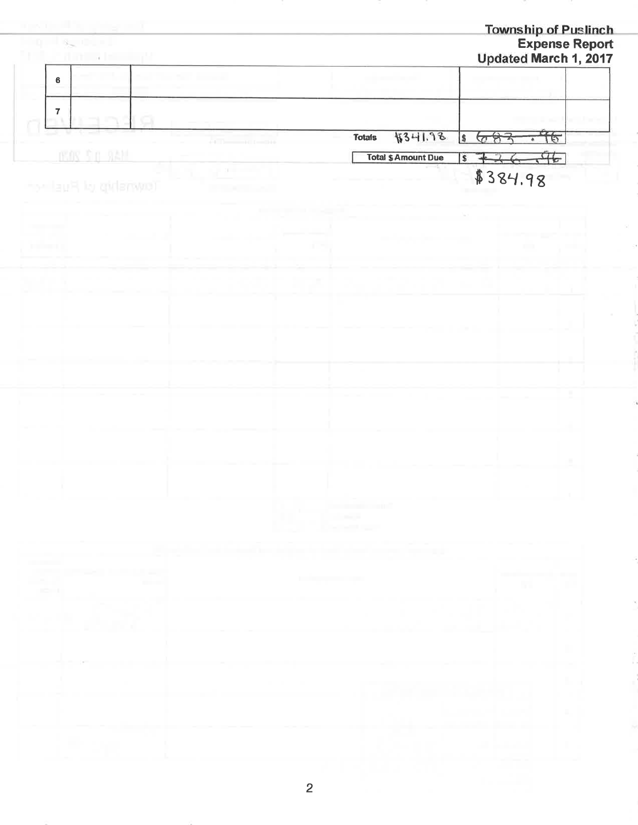| 그는 이 없는 아이들이                                    |                                   |                                                             |                            |                           | <b>Township of Puslinch</b>       | <b>Expense Report</b> |
|-------------------------------------------------|-----------------------------------|-------------------------------------------------------------|----------------------------|---------------------------|-----------------------------------|-----------------------|
| <b>Hill</b><br><b>Children</b> and the state of |                                   |                                                             |                            |                           | Updated March 1, 2017             |                       |
| 6                                               |                                   |                                                             |                            |                           |                                   |                       |
|                                                 |                                   |                                                             |                            |                           |                                   |                       |
| $\overline{\textbf{7}}$<br>- 1                  |                                   |                                                             |                            |                           |                                   |                       |
|                                                 |                                   | <b>Totals</b>                                               | 8341.98                    | $\overline{\mathfrak{s}}$ | 76<br>683<br>$\overline{\bullet}$ |                       |
| <b>IROS \$ 0.9AM</b>                            |                                   |                                                             | <b>Total \$ Amount Due</b> | l \$<br>ᆠ                 | 46                                |                       |
|                                                 | $20 - 10 = 1$                     |                                                             |                            |                           |                                   |                       |
| for the pulled Hush he                          |                                   |                                                             |                            |                           | \$384.98                          |                       |
|                                                 |                                   |                                                             |                            |                           |                                   |                       |
|                                                 |                                   |                                                             |                            |                           |                                   |                       |
| <b>FRIDAY</b>                                   |                                   |                                                             |                            |                           |                                   |                       |
|                                                 |                                   |                                                             |                            |                           |                                   |                       |
|                                                 |                                   |                                                             |                            |                           |                                   |                       |
|                                                 |                                   |                                                             |                            |                           |                                   |                       |
|                                                 |                                   |                                                             |                            |                           |                                   |                       |
|                                                 |                                   |                                                             |                            |                           |                                   |                       |
|                                                 |                                   |                                                             |                            |                           |                                   |                       |
|                                                 |                                   |                                                             |                            |                           |                                   |                       |
|                                                 |                                   |                                                             |                            |                           |                                   |                       |
|                                                 |                                   |                                                             |                            |                           |                                   |                       |
|                                                 |                                   |                                                             |                            |                           |                                   |                       |
|                                                 |                                   |                                                             |                            |                           |                                   |                       |
|                                                 |                                   |                                                             |                            |                           |                                   |                       |
|                                                 |                                   |                                                             |                            |                           |                                   |                       |
|                                                 |                                   |                                                             |                            |                           |                                   |                       |
|                                                 |                                   | the contract of the contract of<br><b>Contract Contract</b> |                            |                           |                                   |                       |
|                                                 | n.<br><b>Contractor</b>           |                                                             |                            |                           |                                   |                       |
|                                                 |                                   | the product of the pro-                                     |                            |                           |                                   |                       |
| <b>Contract</b>                                 |                                   |                                                             |                            |                           |                                   |                       |
| <b><i>CONTRACTOR CARD IN THE SALE AND</i></b>   | the company's company's company's |                                                             |                            |                           |                                   |                       |
| an an                                           |                                   |                                                             |                            |                           | w                                 |                       |
|                                                 |                                   |                                                             |                            |                           |                                   | х                     |
| <b>COLLANS</b>                                  |                                   |                                                             |                            |                           |                                   |                       |
| x                                               |                                   |                                                             |                            |                           |                                   |                       |
|                                                 |                                   |                                                             |                            |                           |                                   | and the               |
| ×                                               |                                   |                                                             |                            |                           |                                   | lla an                |
|                                                 |                                   |                                                             |                            |                           |                                   |                       |
|                                                 |                                   |                                                             |                            |                           |                                   |                       |
|                                                 |                                   |                                                             |                            |                           |                                   |                       |
| х                                               |                                   |                                                             |                            |                           |                                   |                       |
|                                                 |                                   |                                                             |                            |                           | and the same and                  |                       |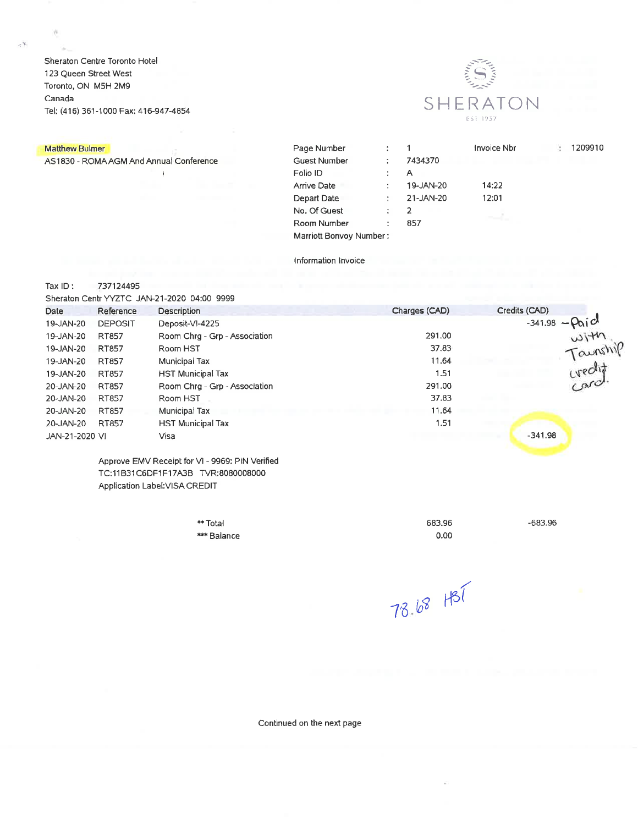Sheraton Centre Toronto Hotel 123 Queen Street West Toronto, ON M5H 2M9 Canada Tel; (416) 361-1000 Fax: 416-947-4854



## Matthew Bulmer

 $\prec$   $\mathcal{S}_1$ 

AS1830 - ROMA AGM And Annual Conference

 $\frac{4}{3}$ 

| Page Number             | ٠ |           | Invoice Nbr | ÷ | 1209910 |
|-------------------------|---|-----------|-------------|---|---------|
| <b>Guest Number</b>     | ÷ | 7434370   |             |   |         |
| Folio ID                |   | A         |             |   |         |
| <b>Arrive Date</b>      | ÷ | 19-JAN-20 | 14:22       |   |         |
| Depart Date             |   | 21-JAN-20 | 12:01       |   |         |
| No. Of Guest            |   | 2         |             |   |         |
| Room Number             | ٠ | 857       |             |   |         |
| Marriott Bonvoy Number: |   |           |             |   |         |

## Information Invoice

Tax  $ID:$ 737124495

Sheraton Centr YYZTC JAN-21-2020 04:00 9999

| Date           | Reference      | <b>Description</b>            | Charges (CAD) | Credits (CAD)             |
|----------------|----------------|-------------------------------|---------------|---------------------------|
| 19-JAN-20      | <b>DEPOSIT</b> | Deposit-VI-4225               |               | $-341.98 - \rho_0$ icl    |
| 19-JAN-20      | RT857          | Room Chrg - Grp - Association | 291.00        | with<br>Taunshir<br>card. |
| 19-JAN-20      | RT857          | Room HST                      | 37.83         |                           |
| 19-JAN-20      | <b>RT857</b>   | Municipal Tax                 | 11.64         |                           |
| 19-JAN-20      | RT857          | <b>HST Municipal Tax</b>      | 1.51          |                           |
| 20-JAN-20      | RT857          | Room Chrg - Grp - Association | 291.00        |                           |
| 20-JAN-20      | RT857          | Room HST                      | 37.83         |                           |
| 20-JAN-20      | RT857          | Municipal Tax                 | 11.64         |                           |
| 20-JAN-20      | RT857          | <b>HST Municipal Tax</b>      | 1.51          |                           |
| JAN-21-2020 VI |                | Visa                          |               | $-341.98$                 |
|                |                |                               |               |                           |

Approve EMV Receipt for VI - 9969: PIN Verified TC:11B31C6DF1F17A3B TVR:8080008000 Application Label: VISA CREDIT

| ** Total    |
|-------------|
| *** Balance |

683.96  $0.00$   $-683.96$ 

78.68 HST

Continued on the next page